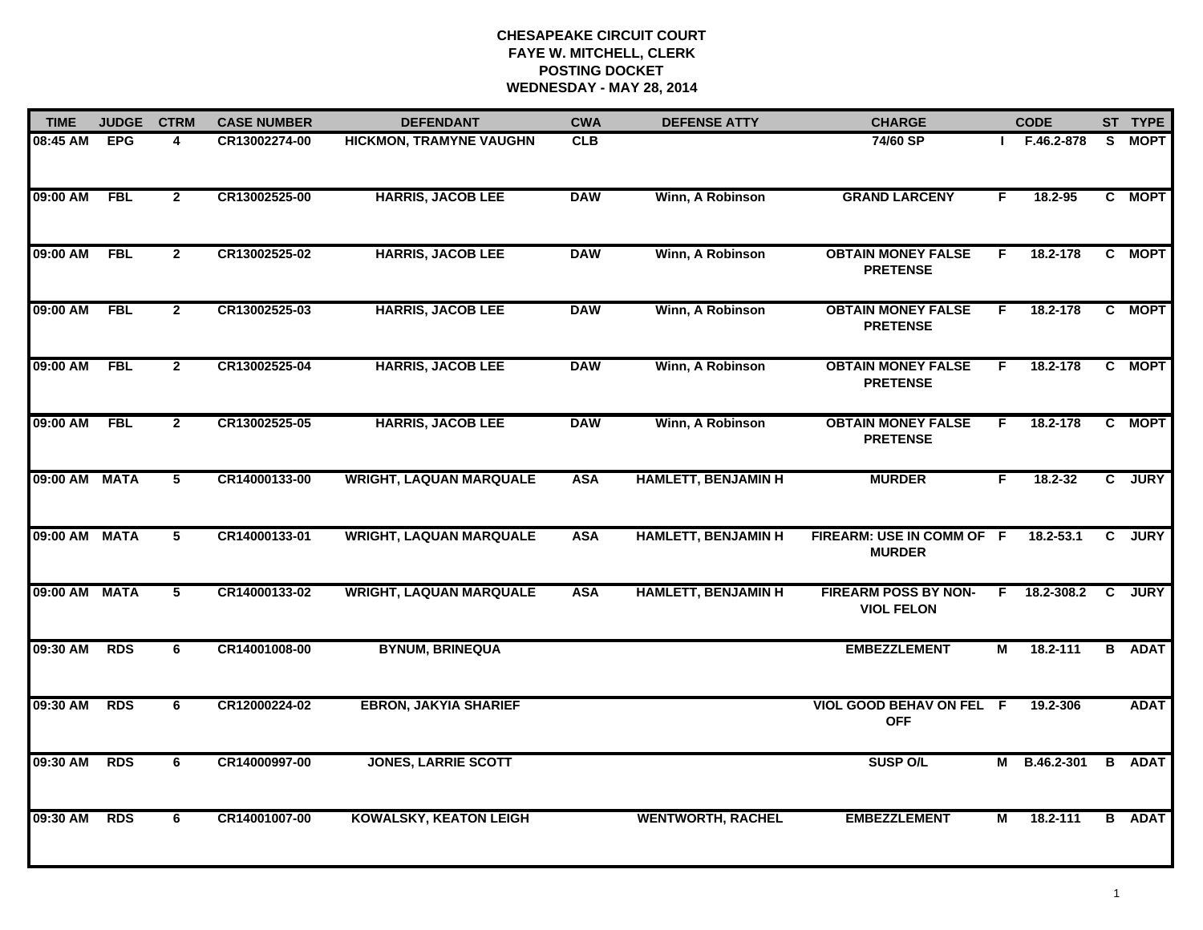# **CHESAPEAKE CIRCUIT COURT FAYE W. MITCHELL, CLERK POSTING DOCKET WEDNESDAY - MAY 28, 2014**

| <b>TIME</b>   | <b>JUDGE</b> | <b>CTRM</b>    | <b>CASE NUMBER</b> | <b>DEFENDANT</b>               | <b>CWA</b> | <b>DEFENSE ATTY</b>        | <b>CHARGE</b>                                    |    | <b>CODE</b>  |              | ST TYPE       |
|---------------|--------------|----------------|--------------------|--------------------------------|------------|----------------------------|--------------------------------------------------|----|--------------|--------------|---------------|
| 08:45 AM      | <b>EPG</b>   | 4              | CR13002274-00      | <b>HICKMON, TRAMYNE VAUGHN</b> | CLB        |                            | 74/60 SP                                         |    | F.46.2-878   | S.           | <b>MOPT</b>   |
| 09:00 AM      | FBL          | $\mathbf{2}$   | CR13002525-00      | <b>HARRIS, JACOB LEE</b>       | <b>DAW</b> | Winn, A Robinson           | <b>GRAND LARCENY</b>                             | F. | 18.2-95      |              | C MOPT        |
| 09:00 AM      | <b>FBL</b>   | $\mathbf{2}$   | CR13002525-02      | <b>HARRIS, JACOB LEE</b>       | <b>DAW</b> | Winn, A Robinson           | <b>OBTAIN MONEY FALSE</b><br><b>PRETENSE</b>     | F. | 18.2-178     |              | C MOPT        |
| 09:00 AM      | <b>FBL</b>   | $\mathbf{2}$   | CR13002525-03      | <b>HARRIS, JACOB LEE</b>       | <b>DAW</b> | Winn, A Robinson           | <b>OBTAIN MONEY FALSE</b><br><b>PRETENSE</b>     | F. | 18.2-178     |              | C MOPT        |
| 09:00 AM      | <b>FBL</b>   | $\overline{2}$ | CR13002525-04      | <b>HARRIS, JACOB LEE</b>       | <b>DAW</b> | Winn, A Robinson           | <b>OBTAIN MONEY FALSE</b><br><b>PRETENSE</b>     | F. | 18.2-178     |              | C MOPT        |
| 09:00 AM      | <b>FBL</b>   | $\overline{2}$ | CR13002525-05      | <b>HARRIS, JACOB LEE</b>       | <b>DAW</b> | Winn, A Robinson           | <b>OBTAIN MONEY FALSE</b><br><b>PRETENSE</b>     | F. | 18.2-178     |              | C MOPT        |
| 09:00 AM MATA |              | $\overline{5}$ | CR14000133-00      | <b>WRIGHT, LAQUAN MARQUALE</b> | <b>ASA</b> | <b>HAMLETT, BENJAMIN H</b> | <b>MURDER</b>                                    | F. | 18.2-32      |              | C JURY        |
| 09:00 AM MATA |              | 5              | CR14000133-01      | <b>WRIGHT, LAQUAN MARQUALE</b> | <b>ASA</b> | <b>HAMLETT, BENJAMIN H</b> | FIREARM: USE IN COMM OF F<br><b>MURDER</b>       |    | 18.2-53.1    | C            | <b>JURY</b>   |
| 09:00 AM MATA |              | 5              | CR14000133-02      | <b>WRIGHT, LAQUAN MARQUALE</b> | <b>ASA</b> | <b>HAMLETT, BENJAMIN H</b> | <b>FIREARM POSS BY NON-</b><br><b>VIOL FELON</b> |    | F 18.2-308.2 | $\mathbf{c}$ | <b>JURY</b>   |
| 09:30 AM      | <b>RDS</b>   | 6              | CR14001008-00      | <b>BYNUM, BRINEQUA</b>         |            |                            | <b>EMBEZZLEMENT</b>                              | М  | 18.2-111     |              | <b>B</b> ADAT |
| 09:30 AM      | <b>RDS</b>   | 6              | CR12000224-02      | <b>EBRON, JAKYIA SHARIEF</b>   |            |                            | VIOL GOOD BEHAV ON FEL F<br><b>OFF</b>           |    | 19.2-306     |              | <b>ADAT</b>   |
| 09:30 AM      | <b>RDS</b>   | 6              | CR14000997-00      | <b>JONES, LARRIE SCOTT</b>     |            |                            | <b>SUSP O/L</b>                                  |    | M B.46.2-301 |              | <b>B</b> ADAT |
| 09:30 AM      | <b>RDS</b>   | 6              | CR14001007-00      | <b>KOWALSKY, KEATON LEIGH</b>  |            | <b>WENTWORTH, RACHEL</b>   | <b>EMBEZZLEMENT</b>                              | М  | 18.2-111     |              | <b>B</b> ADAT |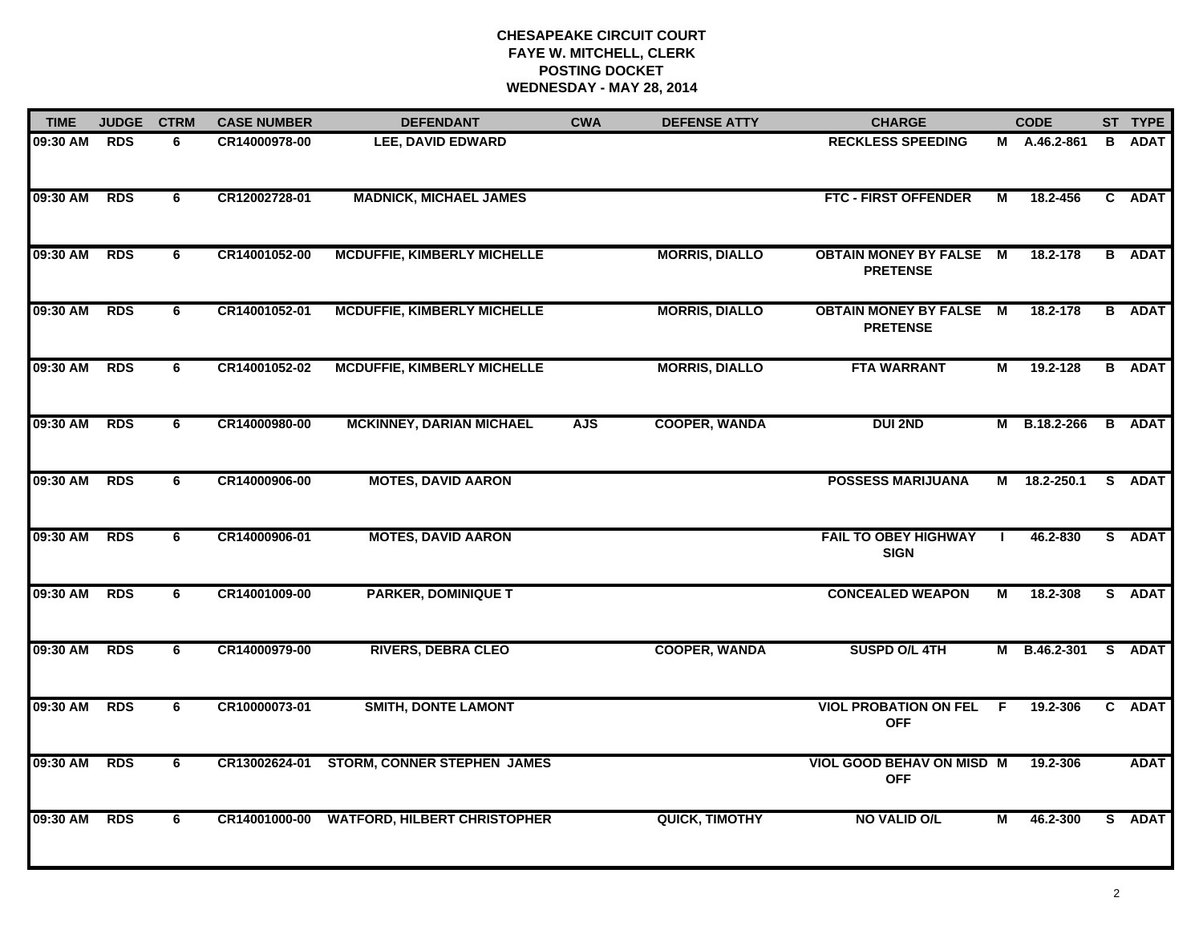# **CHESAPEAKE CIRCUIT COURT FAYE W. MITCHELL, CLERK POSTING DOCKET WEDNESDAY - MAY 28, 2014**

| <b>TIME</b> | <b>JUDGE</b> | <b>CTRM</b> | <b>CASE NUMBER</b> | <b>DEFENDANT</b>                    | <b>CWA</b> | <b>DEFENSE ATTY</b>   | <b>CHARGE</b>                                     |    | <b>CODE</b>  |   | ST TYPE       |
|-------------|--------------|-------------|--------------------|-------------------------------------|------------|-----------------------|---------------------------------------------------|----|--------------|---|---------------|
| 09:30 AM    | <b>RDS</b>   | 6.          | CR14000978-00      | <b>LEE, DAVID EDWARD</b>            |            |                       | <b>RECKLESS SPEEDING</b>                          |    | M A.46.2-861 | B | <b>ADAT</b>   |
| 09:30 AM    | <b>RDS</b>   | 6           | CR12002728-01      | <b>MADNICK, MICHAEL JAMES</b>       |            |                       | <b>FTC - FIRST OFFENDER</b>                       | М  | 18.2-456     |   | C ADAT        |
| 09:30 AM    | <b>RDS</b>   | 6           | CR14001052-00      | <b>MCDUFFIE, KIMBERLY MICHELLE</b>  |            | <b>MORRIS, DIALLO</b> | <b>OBTAIN MONEY BY FALSE M</b><br><b>PRETENSE</b> |    | 18.2-178     |   | <b>B</b> ADAT |
| 09:30 AM    | <b>RDS</b>   | 6           | CR14001052-01      | <b>MCDUFFIE, KIMBERLY MICHELLE</b>  |            | <b>MORRIS, DIALLO</b> | <b>OBTAIN MONEY BY FALSE M</b><br><b>PRETENSE</b> |    | 18.2-178     |   | <b>B</b> ADAT |
| 09:30 AM    | <b>RDS</b>   | 6           | CR14001052-02      | <b>MCDUFFIE, KIMBERLY MICHELLE</b>  |            | <b>MORRIS, DIALLO</b> | <b>FTA WARRANT</b>                                | М  | 19.2-128     |   | <b>B</b> ADAT |
| 09:30 AM    | <b>RDS</b>   | 6           | CR14000980-00      | <b>MCKINNEY, DARIAN MICHAEL</b>     | <b>AJS</b> | <b>COOPER, WANDA</b>  | <b>DUI 2ND</b>                                    |    | M B.18.2-266 |   | <b>B</b> ADAT |
| 09:30 AM    | <b>RDS</b>   | 6           | CR14000906-00      | <b>MOTES, DAVID AARON</b>           |            |                       | <b>POSSESS MARIJUANA</b>                          | М  | 18.2-250.1   |   | S ADAT        |
| 09:30 AM    | <b>RDS</b>   | 6           | CR14000906-01      | <b>MOTES, DAVID AARON</b>           |            |                       | <b>FAIL TO OBEY HIGHWAY</b><br><b>SIGN</b>        |    | 46.2-830     |   | S ADAT        |
| 09:30 AM    | <b>RDS</b>   | 6           | CR14001009-00      | <b>PARKER, DOMINIQUE T</b>          |            |                       | <b>CONCEALED WEAPON</b>                           | М  | 18.2-308     |   | S ADAT        |
| 09:30 AM    | <b>RDS</b>   | 6           | CR14000979-00      | <b>RIVERS, DEBRA CLEO</b>           |            | <b>COOPER, WANDA</b>  | SUSPD O/L 4TH                                     | М  | B.46.2-301   |   | S ADAT        |
| 09:30 AM    | <b>RDS</b>   | 6           | CR10000073-01      | <b>SMITH, DONTE LAMONT</b>          |            |                       | <b>VIOL PROBATION ON FEL</b><br><b>OFF</b>        | -F | 19.2-306     |   | C ADAT        |
| 09:30 AM    | <b>RDS</b>   | 6           | CR13002624-01      | <b>STORM, CONNER STEPHEN JAMES</b>  |            |                       | VIOL GOOD BEHAV ON MISD M<br><b>OFF</b>           |    | 19.2-306     |   | <b>ADAT</b>   |
| 09:30 AM    | <b>RDS</b>   | 6           | CR14001000-00      | <b>WATFORD, HILBERT CHRISTOPHER</b> |            | <b>QUICK, TIMOTHY</b> | <b>NO VALID O/L</b>                               | м  | 46.2-300     |   | S ADAT        |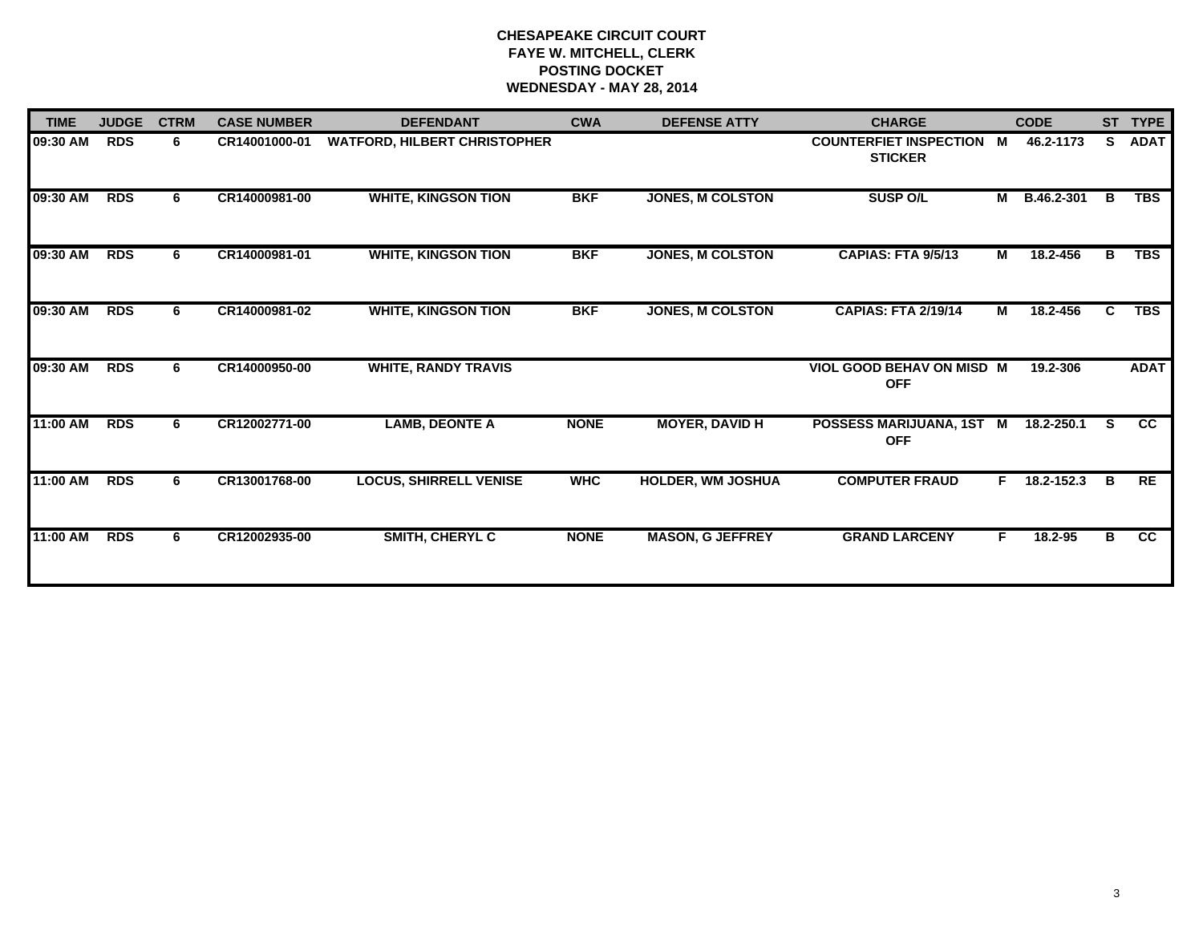# **CHESAPEAKE CIRCUIT COURT FAYE W. MITCHELL, CLERK POSTING DOCKET WEDNESDAY - MAY 28, 2014**

| <b>TIME</b> | <b>JUDGE</b> | <b>CTRM</b> | <b>CASE NUMBER</b> | <b>DEFENDANT</b>                    | <b>CWA</b>  | <b>DEFENSE ATTY</b>      | <b>CHARGE</b>                                     |                | <b>CODE</b> |    | ST TYPE         |
|-------------|--------------|-------------|--------------------|-------------------------------------|-------------|--------------------------|---------------------------------------------------|----------------|-------------|----|-----------------|
| 09:30 AM    | <b>RDS</b>   | 6           | CR14001000-01      | <b>WATFORD, HILBERT CHRISTOPHER</b> |             |                          | <b>COUNTERFIET INSPECTION M</b><br><b>STICKER</b> |                | 46.2-1173   | S. | <b>ADAT</b>     |
| 09:30 AM    | <b>RDS</b>   | 6           | CR14000981-00      | <b>WHITE, KINGSON TION</b>          | <b>BKF</b>  | <b>JONES, M COLSTON</b>  | <b>SUSP O/L</b>                                   | $\overline{M}$ | B.46.2-301  | B  | <b>TBS</b>      |
| 09:30 AM    | <b>RDS</b>   | 6           | CR14000981-01      | <b>WHITE, KINGSON TION</b>          | <b>BKF</b>  | <b>JONES, M COLSTON</b>  | <b>CAPIAS: FTA 9/5/13</b>                         | M              | 18.2-456    | в  | <b>TBS</b>      |
| 09:30 AM    | <b>RDS</b>   | 6.          | CR14000981-02      | <b>WHITE, KINGSON TION</b>          | <b>BKF</b>  | <b>JONES, M COLSTON</b>  | <b>CAPIAS: FTA 2/19/14</b>                        | M              | 18.2-456    | C  | <b>TBS</b>      |
| 09:30 AM    | <b>RDS</b>   | 6.          | CR14000950-00      | <b>WHITE, RANDY TRAVIS</b>          |             |                          | VIOL GOOD BEHAV ON MISD M<br><b>OFF</b>           |                | 19.2-306    |    | <b>ADAT</b>     |
| 11:00 AM    | <b>RDS</b>   | 6           | CR12002771-00      | <b>LAMB, DEONTE A</b>               | <b>NONE</b> | <b>MOYER, DAVID H</b>    | POSSESS MARIJUANA, 1ST M<br><b>OFF</b>            |                | 18.2-250.1  | S. | cc              |
| 11:00 AM    | <b>RDS</b>   | 6           | CR13001768-00      | <b>LOCUS, SHIRRELL VENISE</b>       | <b>WHC</b>  | <b>HOLDER, WM JOSHUA</b> | <b>COMPUTER FRAUD</b>                             | F.             | 18.2-152.3  | B  | RE              |
| 11:00 AM    | <b>RDS</b>   | 6.          | CR12002935-00      | <b>SMITH, CHERYL C</b>              | <b>NONE</b> | <b>MASON, G JEFFREY</b>  | <b>GRAND LARCENY</b>                              | F              | 18.2-95     | в  | $\overline{cc}$ |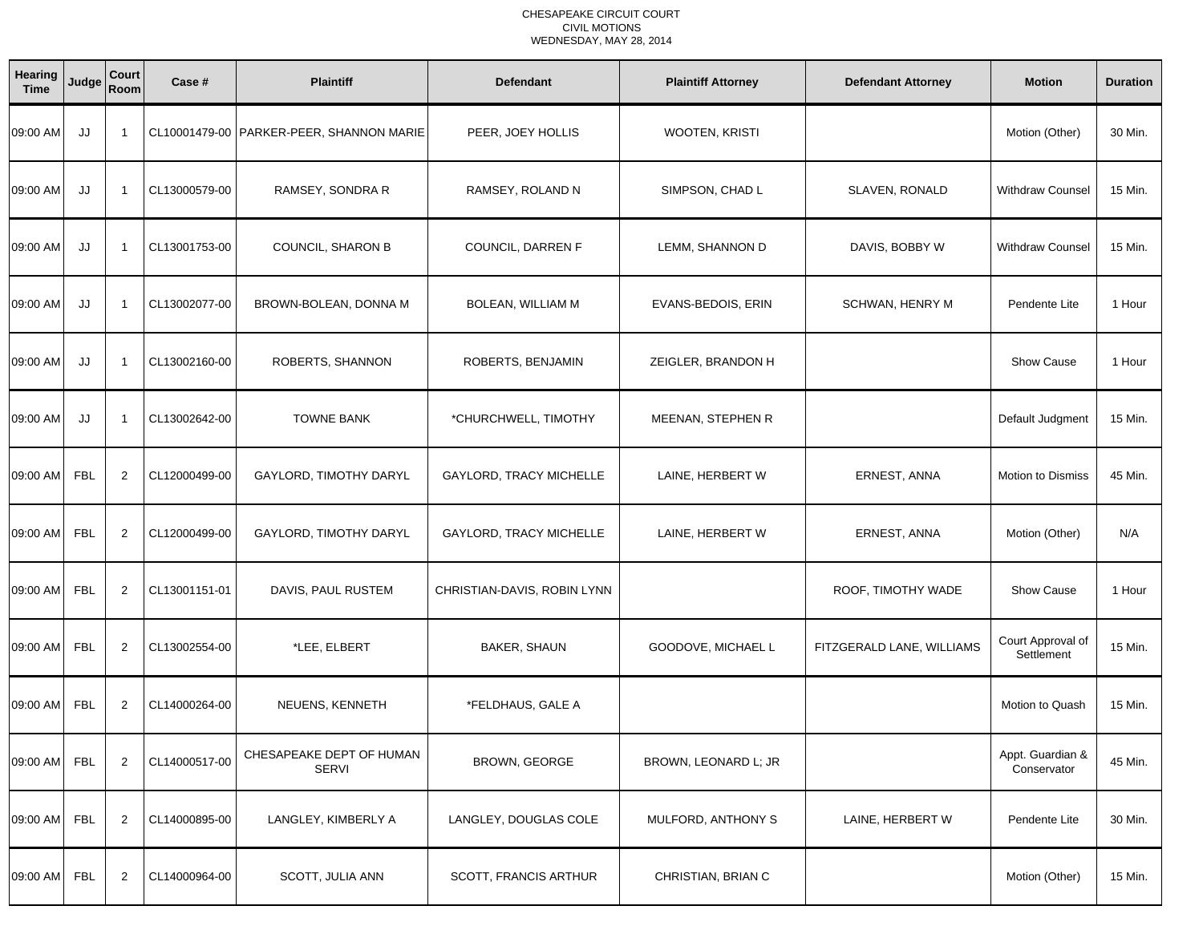| Hearing<br><b>Time</b> | Judge      | Court<br>Room           | Case #        | <b>Plaintiff</b>                           | <b>Defendant</b>            | <b>Plaintiff Attorney</b> | <b>Defendant Attorney</b> | <b>Motion</b>                   | <b>Duration</b> |
|------------------------|------------|-------------------------|---------------|--------------------------------------------|-----------------------------|---------------------------|---------------------------|---------------------------------|-----------------|
| 09:00 AM               | JJ         | - 1                     |               | CL10001479-00   PARKER-PEER, SHANNON MARIE | PEER, JOEY HOLLIS           | WOOTEN, KRISTI            |                           | Motion (Other)                  | 30 Min.         |
| 09:00 AM               | JJ         | -1                      | CL13000579-00 | RAMSEY, SONDRA R                           | RAMSEY, ROLAND N            | SIMPSON, CHAD L           | SLAVEN, RONALD            | <b>Withdraw Counsel</b>         | 15 Min.         |
| 09:00 AM               | JJ         | $\overline{\mathbf{1}}$ | CL13001753-00 | COUNCIL, SHARON B                          | COUNCIL, DARREN F           | LEMM, SHANNON D           | DAVIS, BOBBY W            | <b>Withdraw Counsel</b>         | 15 Min.         |
| 09:00 AM               | JJ         | $\overline{\mathbf{1}}$ | CL13002077-00 | BROWN-BOLEAN, DONNA M                      | BOLEAN, WILLIAM M           | EVANS-BEDOIS, ERIN        | SCHWAN, HENRY M           | Pendente Lite                   | 1 Hour          |
| 09:00 AM               | JJ         | $\overline{\mathbf{1}}$ | CL13002160-00 | ROBERTS, SHANNON                           | ROBERTS, BENJAMIN           | ZEIGLER, BRANDON H        |                           | Show Cause                      | 1 Hour          |
| 09:00 AM               | JJ         | - 1                     | CL13002642-00 | <b>TOWNE BANK</b>                          | *CHURCHWELL, TIMOTHY        | MEENAN, STEPHEN R         |                           | Default Judgment                | 15 Min.         |
| 09:00 AM               | FBL        | 2                       | CL12000499-00 | GAYLORD, TIMOTHY DARYL                     | GAYLORD, TRACY MICHELLE     | LAINE, HERBERT W          | ERNEST, ANNA              | Motion to Dismiss               | 45 Min.         |
| 09:00 AM               | FBL        | 2                       | CL12000499-00 | GAYLORD, TIMOTHY DARYL                     | GAYLORD, TRACY MICHELLE     | LAINE, HERBERT W          | ERNEST, ANNA              | Motion (Other)                  | N/A             |
| 09:00 AM               | <b>FBL</b> | 2                       | CL13001151-01 | DAVIS, PAUL RUSTEM                         | CHRISTIAN-DAVIS, ROBIN LYNN |                           | ROOF, TIMOTHY WADE        | <b>Show Cause</b>               | 1 Hour          |
| 09:00 AM               | <b>FBL</b> | $\overline{2}$          | CL13002554-00 | *LEE, ELBERT                               | <b>BAKER, SHAUN</b>         | GOODOVE, MICHAEL L        | FITZGERALD LANE, WILLIAMS | Court Approval of<br>Settlement | 15 Min.         |
| 09:00 AM FBL           |            | 2                       | CL14000264-00 | NEUENS, KENNETH                            | *FELDHAUS, GALE A           |                           |                           | Motion to Quash                 | 15 Min.         |
| 09:00 AM FBL           |            | $\overline{2}$          | CL14000517-00 | CHESAPEAKE DEPT OF HUMAN<br><b>SERVI</b>   | BROWN, GEORGE               | BROWN, LEONARD L; JR      |                           | Appt. Guardian &<br>Conservator | 45 Min.         |
| 09:00 AM               | <b>FBL</b> | $\overline{2}$          | CL14000895-00 | LANGLEY, KIMBERLY A                        | LANGLEY, DOUGLAS COLE       | MULFORD, ANTHONY S        | LAINE, HERBERT W          | Pendente Lite                   | 30 Min.         |
| 09:00 AM FBL           |            | $\overline{c}$          | CL14000964-00 | SCOTT, JULIA ANN                           | SCOTT, FRANCIS ARTHUR       | CHRISTIAN, BRIAN C        |                           | Motion (Other)                  | 15 Min.         |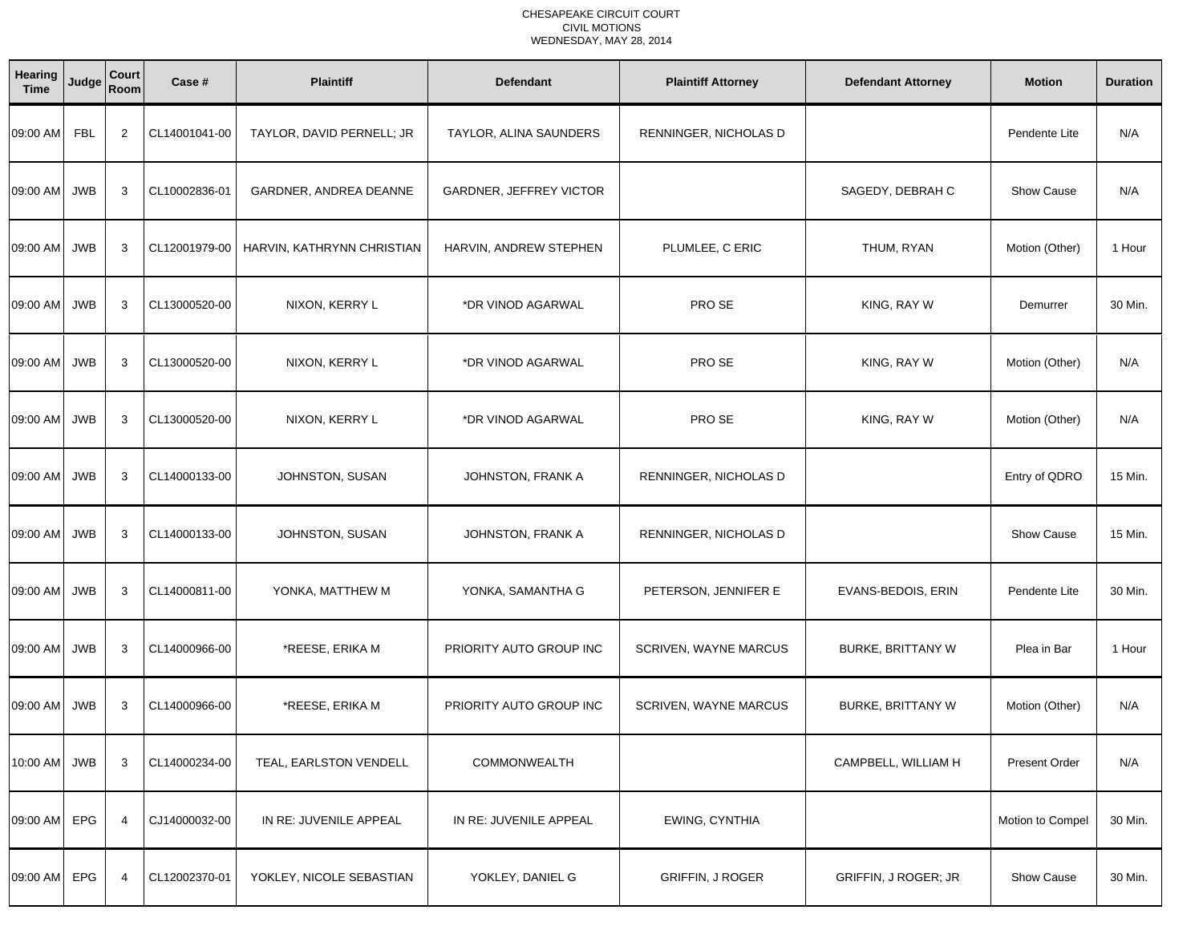| Hearing<br><b>Time</b> | Judge      | Court<br>Room  | Case #        | <b>Plaintiff</b>           | <b>Defendant</b>        | <b>Plaintiff Attorney</b> | <b>Defendant Attorney</b>   | <b>Motion</b>        | <b>Duration</b> |
|------------------------|------------|----------------|---------------|----------------------------|-------------------------|---------------------------|-----------------------------|----------------------|-----------------|
| 09:00 AM               | FBL        | 2              | CL14001041-00 | TAYLOR, DAVID PERNELL; JR  | TAYLOR, ALINA SAUNDERS  | RENNINGER, NICHOLAS D     |                             | Pendente Lite        | N/A             |
| 09:00 AM               | <b>JWB</b> | 3              | CL10002836-01 | GARDNER, ANDREA DEANNE     | GARDNER, JEFFREY VICTOR |                           | SAGEDY, DEBRAH C            | <b>Show Cause</b>    | N/A             |
| 09:00 AM JWB           |            | 3              | CL12001979-00 | HARVIN, KATHRYNN CHRISTIAN | HARVIN, ANDREW STEPHEN  | PLUMLEE, C ERIC           | THUM, RYAN                  | Motion (Other)       | 1 Hour          |
| 09:00 AM JWB           |            | 3              | CL13000520-00 | NIXON, KERRY L             | *DR VINOD AGARWAL       | PRO SE                    | KING, RAY W                 | Demurrer             | 30 Min.         |
| 09:00 AM JWB           |            | 3              | CL13000520-00 | NIXON, KERRY L             | *DR VINOD AGARWAL       | PRO SE                    | KING, RAY W                 | Motion (Other)       | N/A             |
| 09:00 AM               | <b>JWB</b> | 3              | CL13000520-00 | NIXON, KERRY L             | *DR VINOD AGARWAL       | PRO SE                    | KING, RAY W                 | Motion (Other)       | N/A             |
| 09:00 AM JWB           |            | 3              | CL14000133-00 | JOHNSTON, SUSAN            | JOHNSTON, FRANK A       | RENNINGER, NICHOLAS D     |                             | Entry of QDRO        | 15 Min.         |
| 09:00 AM JWB           |            | 3              | CL14000133-00 | JOHNSTON, SUSAN            | JOHNSTON, FRANK A       | RENNINGER, NICHOLAS D     |                             | <b>Show Cause</b>    | 15 Min.         |
| 09:00 AM               | <b>JWB</b> | 3              | CL14000811-00 | YONKA, MATTHEW M           | YONKA, SAMANTHA G       | PETERSON, JENNIFER E      | EVANS-BEDOIS, ERIN          | Pendente Lite        | 30 Min.         |
| 09:00 AM JWB           |            | 3              | CL14000966-00 | *REESE, ERIKA M            | PRIORITY AUTO GROUP INC | SCRIVEN, WAYNE MARCUS     | <b>BURKE, BRITTANY W</b>    | Plea in Bar          | 1 Hour          |
| 09:00 AM JWB           |            | 3              | CL14000966-00 | *REESE, ERIKA M            | PRIORITY AUTO GROUP INC | SCRIVEN, WAYNE MARCUS     | <b>BURKE, BRITTANY W</b>    | Motion (Other)       | N/A             |
| 10:00 AM JWB           |            | 3              | CL14000234-00 | TEAL, EARLSTON VENDELL     | COMMONWEALTH            |                           | CAMPBELL, WILLIAM H         | <b>Present Order</b> | N/A             |
| 09:00 AM EPG           |            | $\overline{4}$ | CJ14000032-00 | IN RE: JUVENILE APPEAL     | IN RE: JUVENILE APPEAL  | EWING, CYNTHIA            |                             | Motion to Compel     | 30 Min.         |
| 09:00 AM EPG           |            | 4              | CL12002370-01 | YOKLEY, NICOLE SEBASTIAN   | YOKLEY, DANIEL G        | <b>GRIFFIN, J ROGER</b>   | <b>GRIFFIN, J ROGER; JR</b> | Show Cause           | 30 Min.         |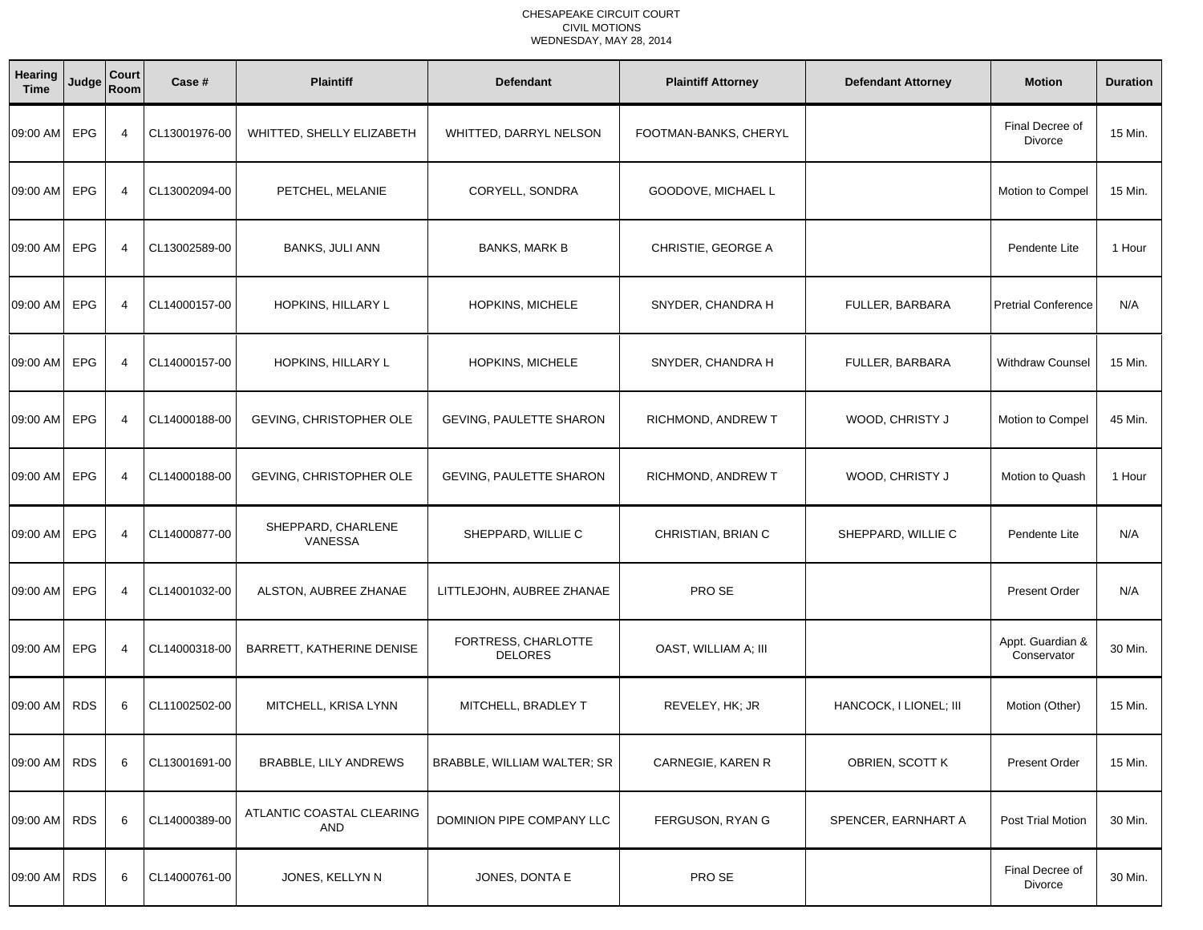| Hearing<br><b>Time</b> | Judge      | Court<br>Room  | Case #        | <b>Plaintiff</b>                     | <b>Defendant</b>                      | <b>Plaintiff Attorney</b> | <b>Defendant Attorney</b> | <b>Motion</b>                     | <b>Duration</b> |
|------------------------|------------|----------------|---------------|--------------------------------------|---------------------------------------|---------------------------|---------------------------|-----------------------------------|-----------------|
| 09:00 AM               | EPG        | $\overline{4}$ | CL13001976-00 | WHITTED, SHELLY ELIZABETH            | WHITTED, DARRYL NELSON                | FOOTMAN-BANKS, CHERYL     |                           | Final Decree of<br><b>Divorce</b> | 15 Min.         |
| 09:00 AM               | EPG        | $\overline{4}$ | CL13002094-00 | PETCHEL, MELANIE                     | CORYELL, SONDRA                       | GOODOVE, MICHAEL L        |                           | Motion to Compel                  | 15 Min.         |
| 09:00 AM               | <b>EPG</b> | 4              | CL13002589-00 | <b>BANKS, JULI ANN</b>               | <b>BANKS, MARK B</b>                  | CHRISTIE, GEORGE A        |                           | Pendente Lite                     | 1 Hour          |
| 09:00 AM               | EPG        | $\overline{4}$ | CL14000157-00 | HOPKINS, HILLARY L                   | HOPKINS, MICHELE                      | SNYDER, CHANDRA H         | FULLER, BARBARA           | <b>Pretrial Conference</b>        | N/A             |
| 09:00 AM               | EPG        | $\overline{4}$ | CL14000157-00 | HOPKINS, HILLARY L                   | HOPKINS, MICHELE                      | SNYDER, CHANDRA H         | FULLER, BARBARA           | <b>Withdraw Counsel</b>           | 15 Min.         |
| 09:00 AM               | EPG        | $\overline{4}$ | CL14000188-00 | GEVING, CHRISTOPHER OLE              | <b>GEVING, PAULETTE SHARON</b>        | RICHMOND, ANDREW T        | WOOD, CHRISTY J           | Motion to Compel                  | 45 Min.         |
| 09:00 AM               | EPG        | $\overline{4}$ | CL14000188-00 | GEVING, CHRISTOPHER OLE              | GEVING, PAULETTE SHARON               | RICHMOND, ANDREW T        | WOOD, CHRISTY J           | Motion to Quash                   | 1 Hour          |
| 09:00 AM               | EPG        | $\overline{4}$ | CL14000877-00 | SHEPPARD, CHARLENE<br><b>VANESSA</b> | SHEPPARD, WILLIE C                    | CHRISTIAN, BRIAN C        | SHEPPARD, WILLIE C        | Pendente Lite                     | N/A             |
| 09:00 AM               | <b>EPG</b> | $\overline{4}$ | CL14001032-00 | ALSTON, AUBREE ZHANAE                | LITTLEJOHN, AUBREE ZHANAE             | PRO SE                    |                           | <b>Present Order</b>              | N/A             |
| 09:00 AM               | EPG        | $\overline{4}$ | CL14000318-00 | BARRETT, KATHERINE DENISE            | FORTRESS, CHARLOTTE<br><b>DELORES</b> | OAST, WILLIAM A; III      |                           | Appt. Guardian &<br>Conservator   | 30 Min.         |
| 09:00 AM               | <b>RDS</b> | 6              | CL11002502-00 | MITCHELL, KRISA LYNN                 | MITCHELL, BRADLEY T                   | REVELEY, HK; JR           | HANCOCK, I LIONEL; III    | Motion (Other)                    | 15 Min.         |
| 09:00 AM RDS           |            | 6              | CL13001691-00 | <b>BRABBLE, LILY ANDREWS</b>         | BRABBLE, WILLIAM WALTER; SR           | CARNEGIE, KAREN R         | OBRIEN, SCOTT K           | <b>Present Order</b>              | 15 Min.         |
| 09:00 AM               | <b>RDS</b> | 6              | CL14000389-00 | ATLANTIC COASTAL CLEARING<br>AND     | DOMINION PIPE COMPANY LLC             | FERGUSON, RYAN G          | SPENCER, EARNHART A       | Post Trial Motion                 | 30 Min.         |
| 09:00 AM               | <b>RDS</b> | 6              | CL14000761-00 | JONES, KELLYN N                      | JONES, DONTA E                        | PRO SE                    |                           | Final Decree of<br>Divorce        | 30 Min.         |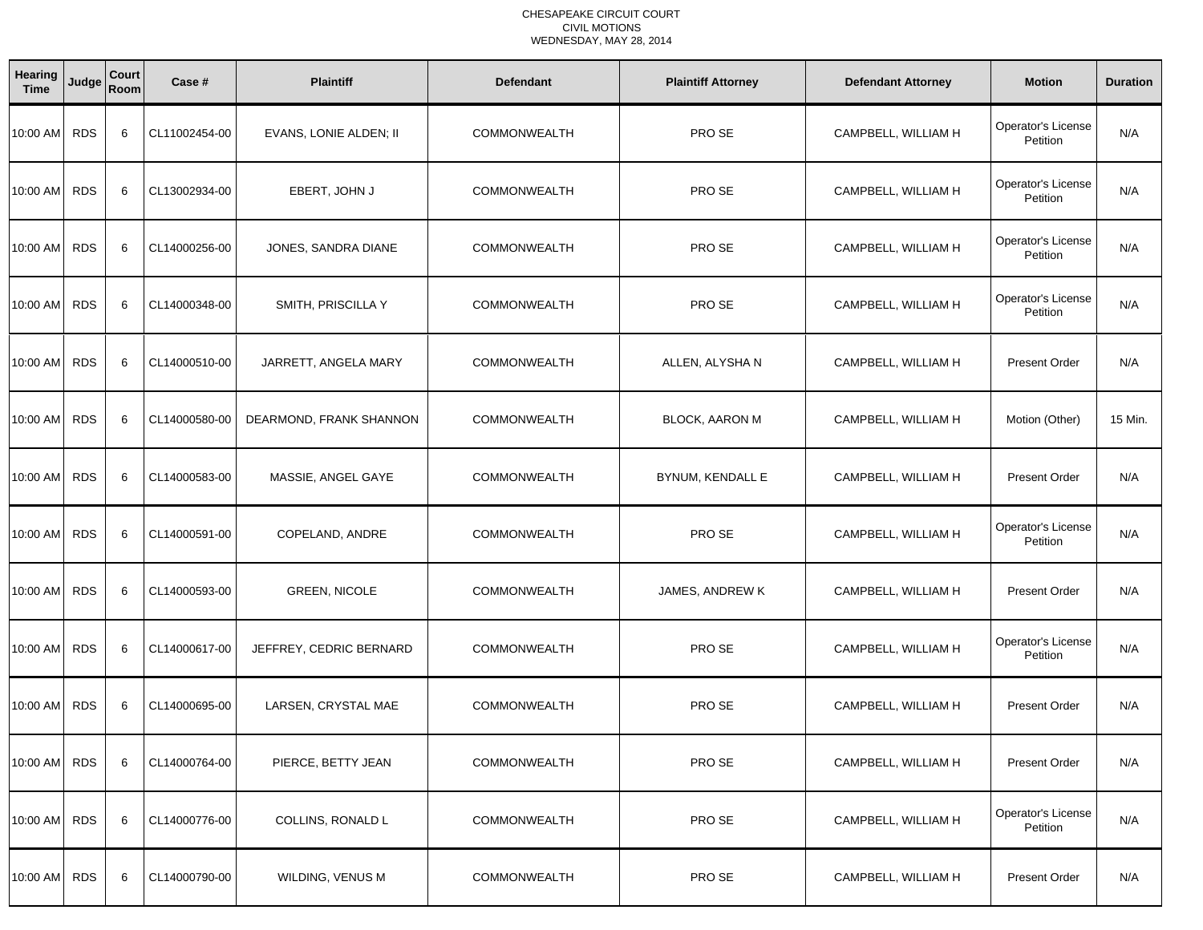| Hearing<br><b>Time</b> | Judge      | <b>Court</b><br>Room | Case #        | <b>Plaintiff</b>        | <b>Defendant</b>    | <b>Plaintiff Attorney</b> | <b>Defendant Attorney</b> | <b>Motion</b>                  | <b>Duration</b> |
|------------------------|------------|----------------------|---------------|-------------------------|---------------------|---------------------------|---------------------------|--------------------------------|-----------------|
| 10:00 AM               | <b>RDS</b> | 6                    | CL11002454-00 | EVANS, LONIE ALDEN; II  | <b>COMMONWEALTH</b> | PRO SE                    | CAMPBELL, WILLIAM H       | Operator's License<br>Petition | N/A             |
| 10:00 AM               | <b>RDS</b> | 6                    | CL13002934-00 | EBERT, JOHN J           | <b>COMMONWEALTH</b> | PRO SE                    | CAMPBELL, WILLIAM H       | Operator's License<br>Petition | N/A             |
| 10:00 AM               | <b>RDS</b> | 6                    | CL14000256-00 | JONES, SANDRA DIANE     | <b>COMMONWEALTH</b> | PRO SE                    | CAMPBELL, WILLIAM H       | Operator's License<br>Petition | N/A             |
| 10:00 AM               | <b>RDS</b> | 6                    | CL14000348-00 | SMITH, PRISCILLA Y      | <b>COMMONWEALTH</b> | PRO SE                    | CAMPBELL, WILLIAM H       | Operator's License<br>Petition | N/A             |
| 10:00 AM               | <b>RDS</b> | 6                    | CL14000510-00 | JARRETT, ANGELA MARY    | <b>COMMONWEALTH</b> | ALLEN, ALYSHA N           | CAMPBELL, WILLIAM H       | <b>Present Order</b>           | N/A             |
| 10:00 AM               | <b>RDS</b> | 6                    | CL14000580-00 | DEARMOND, FRANK SHANNON | <b>COMMONWEALTH</b> | <b>BLOCK, AARON M</b>     | CAMPBELL, WILLIAM H       | Motion (Other)                 | 15 Min.         |
| 10:00 AM               | <b>RDS</b> | 6                    | CL14000583-00 | MASSIE, ANGEL GAYE      | <b>COMMONWEALTH</b> | BYNUM, KENDALL E          | CAMPBELL, WILLIAM H       | <b>Present Order</b>           | N/A             |
| 10:00 AM               | <b>RDS</b> | 6                    | CL14000591-00 | COPELAND, ANDRE         | <b>COMMONWEALTH</b> | PRO SE                    | CAMPBELL, WILLIAM H       | Operator's License<br>Petition | N/A             |
| 10:00 AM               | <b>RDS</b> | 6                    | CL14000593-00 | <b>GREEN, NICOLE</b>    | <b>COMMONWEALTH</b> | JAMES, ANDREW K           | CAMPBELL, WILLIAM H       | <b>Present Order</b>           | N/A             |
| 10:00 AM               | <b>RDS</b> | 6                    | CL14000617-00 | JEFFREY, CEDRIC BERNARD | <b>COMMONWEALTH</b> | PRO SE                    | CAMPBELL, WILLIAM H       | Operator's License<br>Petition | N/A             |
| 10:00 AM RDS           |            | 6                    | CL14000695-00 | LARSEN, CRYSTAL MAE     | <b>COMMONWEALTH</b> | PRO SE                    | CAMPBELL, WILLIAM H       | <b>Present Order</b>           | N/A             |
| 10:00 AM RDS           |            | 6                    | CL14000764-00 | PIERCE, BETTY JEAN      | COMMONWEALTH        | PRO SE                    | CAMPBELL, WILLIAM H       | Present Order                  | N/A             |
| 10:00 AM RDS           |            | 6                    | CL14000776-00 | COLLINS, RONALD L       | <b>COMMONWEALTH</b> | PRO SE                    | CAMPBELL, WILLIAM H       | Operator's License<br>Petition | N/A             |
| 10:00 AM RDS           |            | 6                    | CL14000790-00 | WILDING, VENUS M        | <b>COMMONWEALTH</b> | PRO SE                    | CAMPBELL, WILLIAM H       | Present Order                  | N/A             |